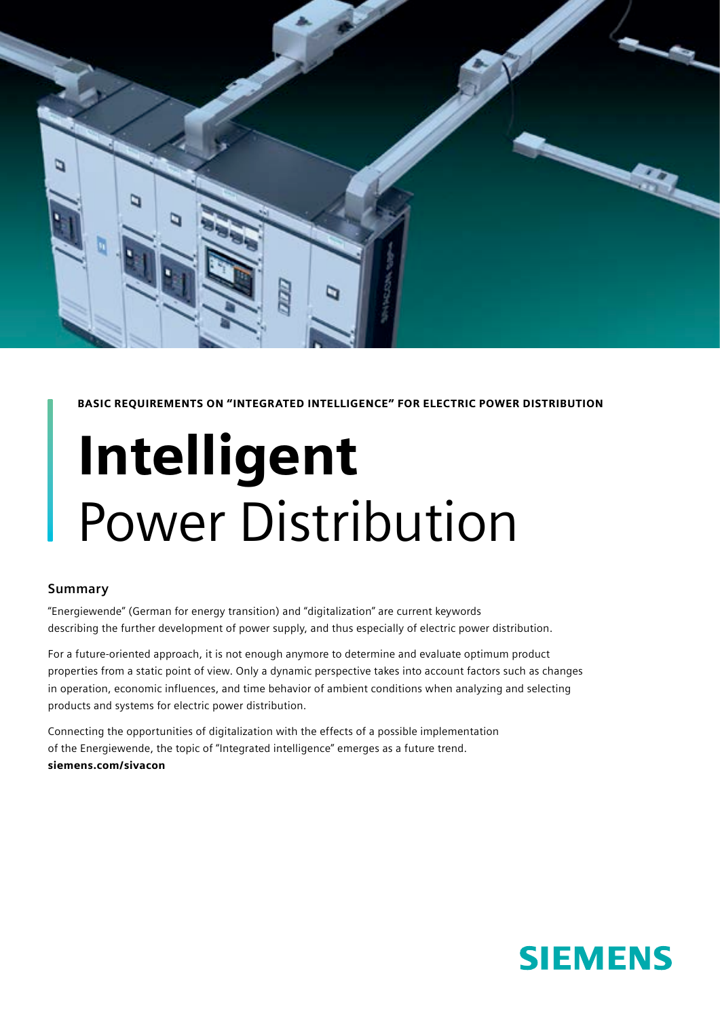

BASIC REQUIREMENTS ON "INTEGRATED INTELLIGENCE" FOR ELECTRIC POWER DISTRIBUTION

# Intelligent Power Distribution

#### **Summary**

"Energiewende" (German for energy transition) and "digitalization" are current keywords describing the further development of power supply, and thus especially of electric power distribution.

For a future-oriented approach, it is not enough anymore to determine and evaluate optimum product properties from a static point of view. Only a dynamic perspective takes into account factors such as changes in operation, economic influences, and time behavior of ambient conditions when analyzing and selecting products and systems for electric power distribution.

Connecting the opportunities of digitalization with the effects of a possible implementation of the Energiewende, the topic of "Integrated intelligence" emerges as a future trend. siemens.com/sivacon

# **SIEMENS**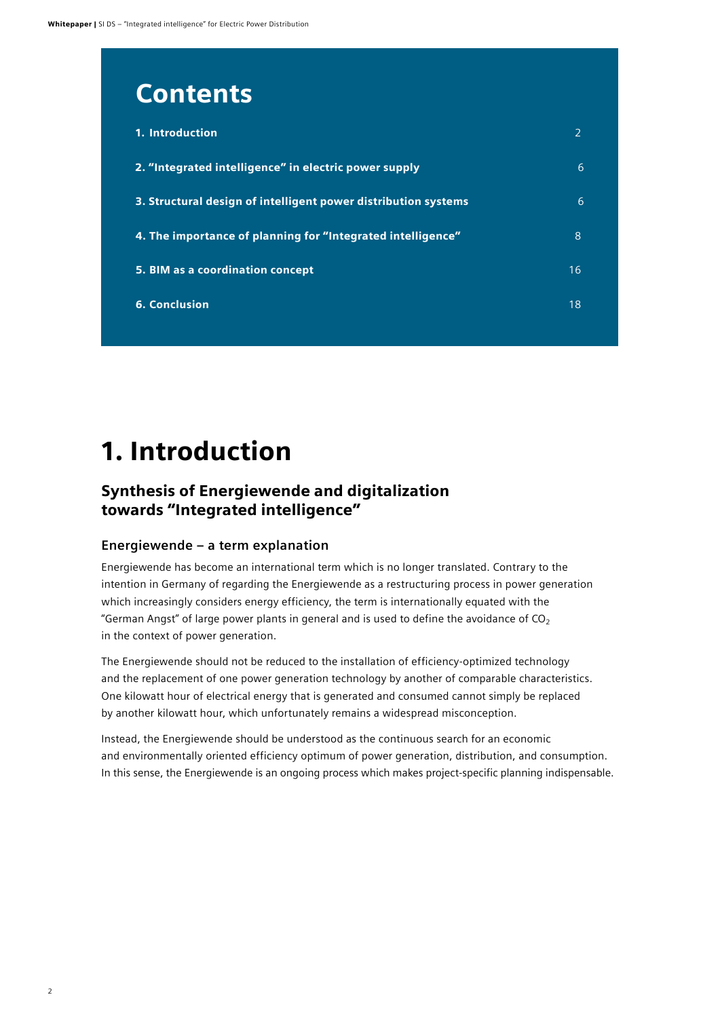# **Contents**

| 1. Introduction                                                |    |
|----------------------------------------------------------------|----|
| 2. "Integrated intelligence" in electric power supply          | 6  |
| 3. Structural design of intelligent power distribution systems | 6  |
| 4. The importance of planning for "Integrated intelligence"    | 8  |
| 5. BIM as a coordination concept                               | 16 |
| <b>6. Conclusion</b>                                           | 18 |

# 1. Introduction

# Synthesis of Energiewende and digitalization towards "Integrated intelligence"

### **Energiewende – a term explanation**

Energiewende has become an international term which is no longer translated. Contrary to the intention in Germany of regarding the Energiewende as a restructuring process in power generation which increasingly considers energy efficiency, the term is internationally equated with the "German Angst" of large power plants in general and is used to define the avoidance of  $CO<sub>2</sub>$ in the context of power generation.

The Energiewende should not be reduced to the installation of efficiency-optimized technology and the replacement of one power generation technology by another of comparable characteristics. One kilowatt hour of electrical energy that is generated and consumed cannot simply be replaced by another kilowatt hour, which unfortunately remains a widespread misconception.

Instead, the Energiewende should be understood as the continuous search for an economic and environmentally oriented efficiency optimum of power generation, distribution, and consumption. In this sense, the Energiewende is an ongoing process which makes project-specific planning indispensable.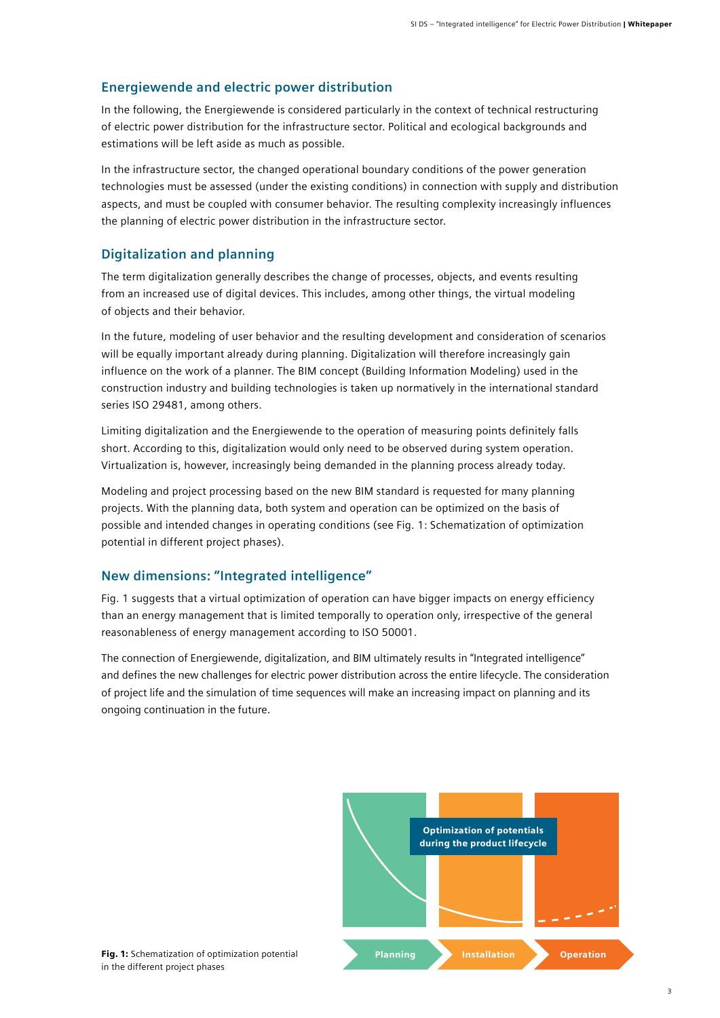### **Energiewende and electric power distribution**

In the following, the Energiewende is considered particularly in the context of technical restructuring of electric power distribution for the infrastructure sector. Political and ecological backgrounds and estimations will be left aside as much as possible.

In the infrastructure sector, the changed operational boundary conditions of the power generation technologies must be assessed (under the existing conditions) in connection with supply and distribution aspects, and must be coupled with consumer behavior. The resulting complexity increasingly influences the planning of electric power distribution in the infrastructure sector.

#### **Digitalization and planning**

The term digitalization generally describes the change of processes, objects, and events resulting from an increased use of digital devices. This includes, among other things, the virtual modeling of objects and their behavior.

In the future, modeling of user behavior and the resulting development and consideration of scenarios will be equally important already during planning. Digitalization will therefore increasingly gain influence on the work of a planner. The BIM concept (Building Information Modeling) used in the construction industry and building technologies is taken up normatively in the international standard series ISO 29481, among others.

Limiting digitalization and the Energiewende to the operation of measuring points definitely falls short. According to this, digitalization would only need to be observed during system operation. Virtualization is, however, increasingly being demanded in the planning process already today.

Modeling and project processing based on the new BIM standard is requested for many planning projects. With the planning data, both system and operation can be optimized on the basis of possible and intended changes in operating conditions (see Fig. 1: Schematization of optimization potential in different project phases).

#### **New dimensions: "Integrated intelligence"**

Fig. 1 suggests that a virtual optimization of operation can have bigger impacts on energy efficiency than an energy management that is limited temporally to operation only, irrespective of the general reasonableness of energy management according to ISO 50001.

The connection of Energiewende, digitalization, and BIM ultimately results in "Integrated intelligence" and defines the new challenges for electric power distribution across the entire lifecycle. The consideration of project life and the simulation of time sequences will make an increasing impact on planning and its ongoing continuation in the future.

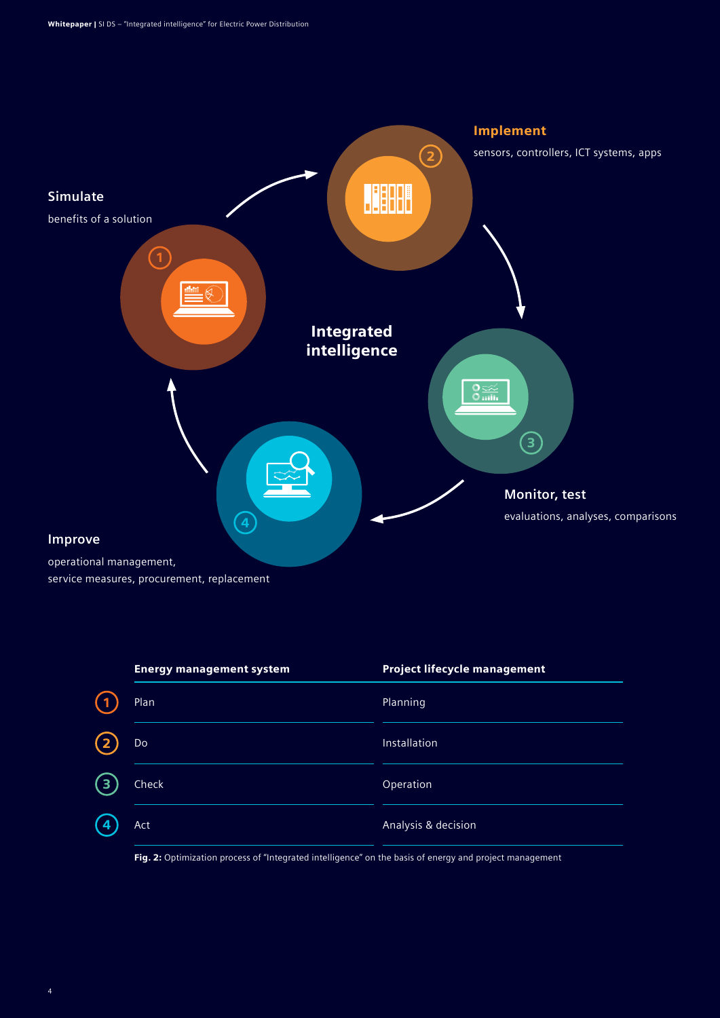

| <b>Energy management system</b> |                                         | <b>Project lifecycle management</b>           |
|---------------------------------|-----------------------------------------|-----------------------------------------------|
| Plan                            |                                         | Planning                                      |
| Do                              |                                         | Installation                                  |
| Check<br>З                      |                                         | Operation                                     |
| Act<br>4                        |                                         | Analysis & decision                           |
| _ _ _ _                         | the party of the company of the company | .<br><b>Contract Contract Contract</b><br>. . |

Fig. 2: Optimization process of "Integrated intelligence" on the basis of energy and project management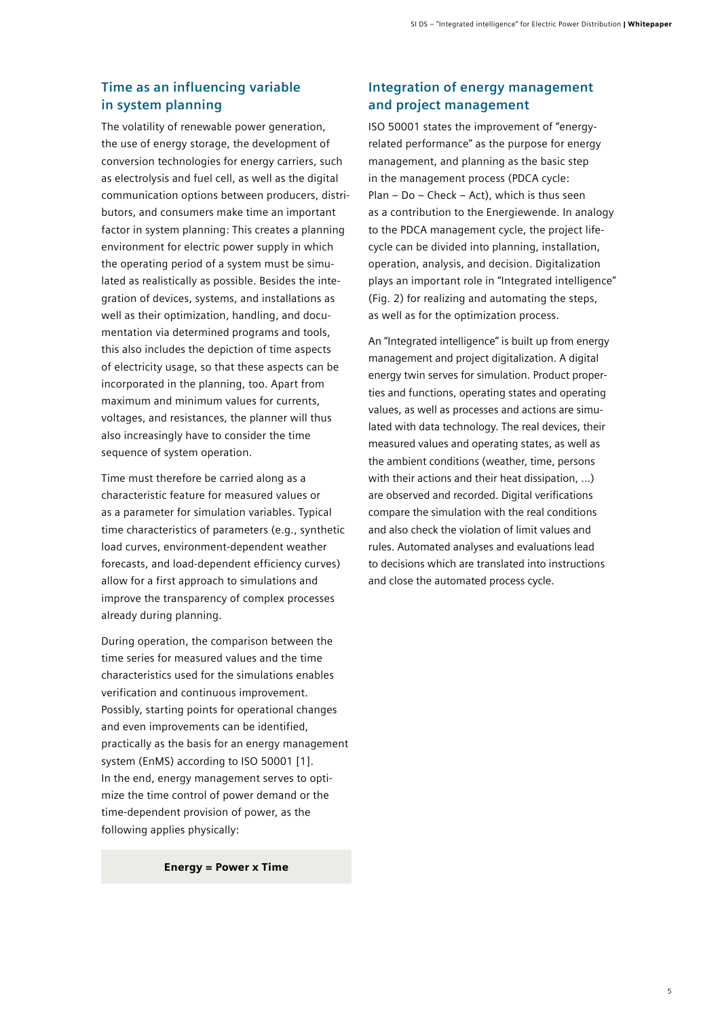### **Time as an influencing variable in system planning**

The volatility of renewable power generation, the use of energy storage, the development of conversion technologies for energy carriers, such as electrolysis and fuel cell, as well as the digital communication options between producers, distributors, and consumers make time an important factor in system planning: This creates a planning environment for electric power supply in which the operating period of a system must be simulated as realistically as possible. Besides the integration of devices, systems, and installations as well as their optimization, handling, and documentation via determined programs and tools, this also includes the depiction of time aspects of electricity usage, so that these aspects can be incorporated in the planning, too. Apart from maximum and minimum values for currents, voltages, and resistances, the planner will thus also increasingly have to consider the time sequence of system operation.

Time must therefore be carried along as a characteristic feature for measured values or as a parameter for simulation variables. Typical time characteristics of parameters (e.g., synthetic load curves, environment-dependent weather forecasts, and load-dependent efficiency curves) allow for a first approach to simulations and improve the transparency of complex processes already during planning.

During operation, the comparison between the time series for measured values and the time characteristics used for the simulations enables verification and continuous improvement. Possibly, starting points for operational changes and even improvements can be identified, practically as the basis for an energy management system (EnMS) according to ISO 50001 [1]. In the end, energy management serves to optimize the time control of power demand or the time-dependent provision of power, as the following applies physically:

Energy = Power x Time

### **Integration of energy management and project management**

ISO 50001 states the improvement of "energyrelated performance" as the purpose for energy management, and planning as the basic step in the management process (PDCA cycle: Plan – Do – Check – Act), which is thus seen as a contribution to the Energiewende. In analogy to the PDCA management cycle, the project lifecycle can be divided into planning, installation, operation, analysis, and decision. Digitalization plays an important role in "Integrated intelligence" (Fig. 2) for realizing and automating the steps, as well as for the optimization process.

An "Integrated intelligence" is built up from energy management and project digitalization. A digital energy twin serves for simulation. Product properties and functions, operating states and operating values, as well as processes and actions are simulated with data technology. The real devices, their measured values and operating states, as well as the ambient conditions (weather, time, persons with their actions and their heat dissipation, ...) are observed and recorded. Digital verifications compare the simulation with the real conditions and also check the violation of limit values and rules. Automated analyses and evaluations lead to decisions which are translated into instructions and close the automated process cycle.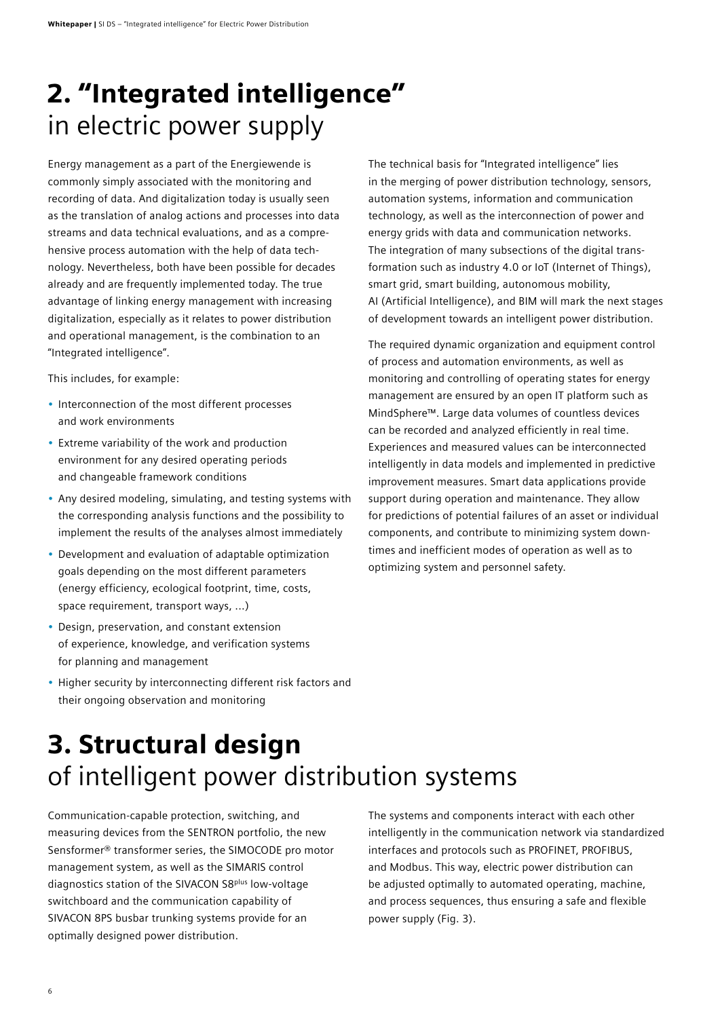# 2. "Integrated intelligence" in electric power supply

Energy management as a part of the Energiewende is commonly simply associated with the monitoring and recording of data. And digitalization today is usually seen as the translation of analog actions and processes into data streams and data technical evaluations, and as a comprehensive process automation with the help of data technology. Nevertheless, both have been possible for decades already and are frequently implemented today. The true advantage of linking energy management with increasing digitalization, especially as it relates to power distribution and operational management, is the combination to an "Integrated intelligence".

This includes, for example:

- Interconnection of the most different processes and work environments
- Extreme variability of the work and production environment for any desired operating periods and changeable framework conditions
- Any desired modeling, simulating, and testing systems with the corresponding analysis functions and the possibility to implement the results of the analyses almost immediately
- Development and evaluation of adaptable optimization goals depending on the most different parameters (energy efficiency, ecological footprint, time, costs, space requirement, transport ways, ...)
- Design, preservation, and constant extension of experience, knowledge, and verification systems for planning and management
- Higher security by interconnecting different risk factors and their ongoing observation and monitoring

The technical basis for "Integrated intelligence" lies in the merging of power distribution technology, sensors, automation systems, information and communication technology, as well as the interconnection of power and energy grids with data and communication networks. The integration of many subsections of the digital transformation such as industry 4.0 or IoT (Internet of Things), smart grid, smart building, autonomous mobility, AI (Artificial Intelligence), and BIM will mark the next stages of development towards an intelligent power distribution.

The required dynamic organization and equipment control of process and automation environments, as well as monitoring and controlling of operating states for energy management are ensured by an open IT platform such as MindSphere™. Large data volumes of countless devices can be recorded and analyzed efficiently in real time. Experiences and measured values can be interconnected intelligently in data models and implemented in predictive improvement measures. Smart data applications provide support during operation and maintenance. They allow for predictions of potential failures of an asset or individual components, and contribute to minimizing system downtimes and inefficient modes of operation as well as to optimizing system and personnel safety.

# 3. Structural design of intelligent power distribution systems

Communication-capable protection, switching, and measuring devices from the SENTRON portfolio, the new Sensformer® transformer series, the SIMOCODE pro motor management system, as well as the SIMARIS control diagnostics station of the SIVACON S8<sup>plus</sup> low-voltage switchboard and the communication capability of SIVACON 8PS busbar trunking systems provide for an optimally designed power distribution.

The systems and components interact with each other intelligently in the communication network via standardized interfaces and protocols such as PROFINET, PROFIBUS, and Modbus. This way, electric power distribution can be adjusted optimally to automated operating, machine, and process sequences, thus ensuring a safe and flexible power supply (Fig. 3).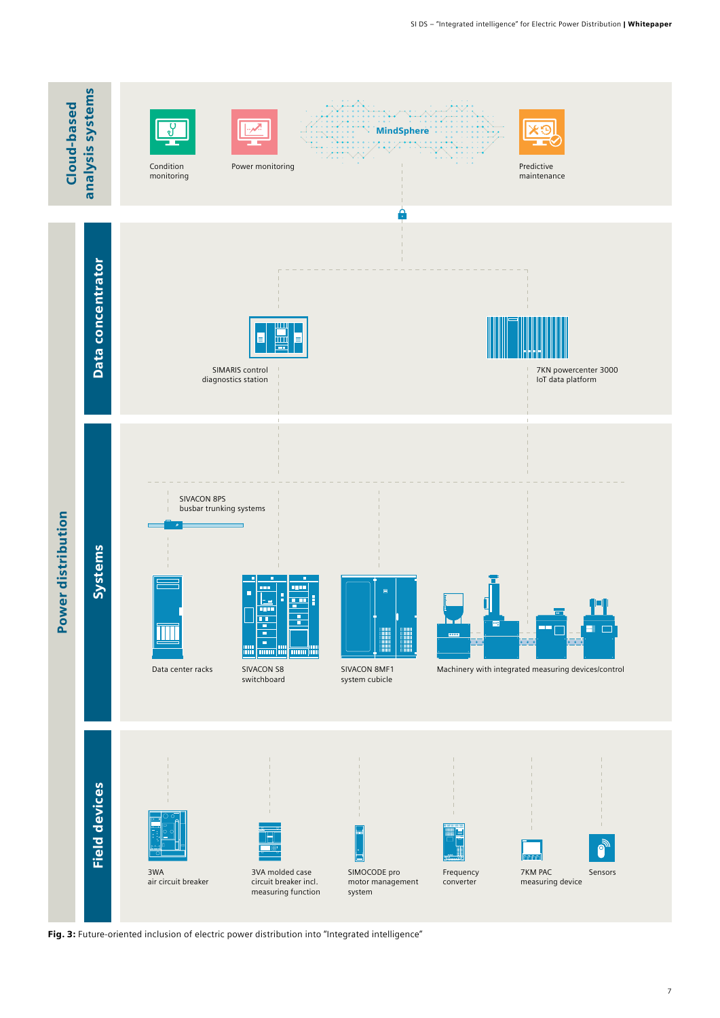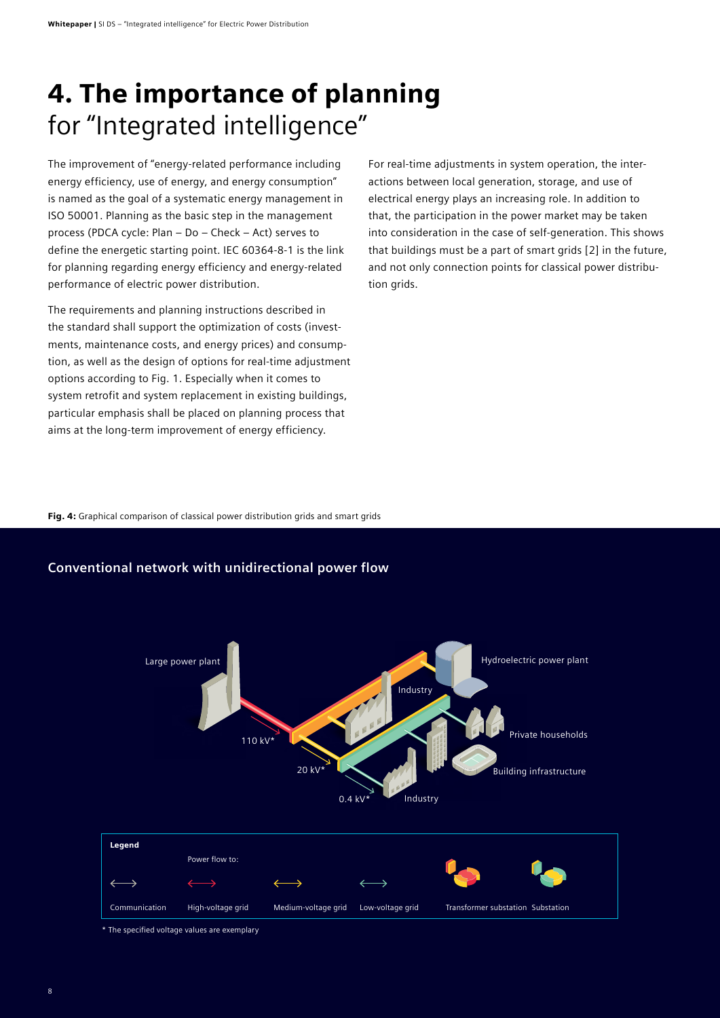# 4. The importance of planning for "Integrated intelligence"

The improvement of "energy-related performance including energy efficiency, use of energy, and energy consumption" is named as the goal of a systematic energy management in ISO 50001. Planning as the basic step in the management process (PDCA cycle: Plan – Do – Check – Act) serves to define the energetic starting point. IEC 60364-8-1 is the link for planning regarding energy efficiency and energy-related performance of electric power distribution.

The requirements and planning instructions described in the standard shall support the optimization of costs (investments, maintenance costs, and energy prices) and consumption, as well as the design of options for real-time adjustment options according to Fig. 1. Especially when it comes to system retrofit and system replacement in existing buildings, particular emphasis shall be placed on planning process that aims at the long-term improvement of energy efficiency.

For real-time adjustments in system operation, the interactions between local generation, storage, and use of electrical energy plays an increasing role. In addition to that, the participation in the power market may be taken into consideration in the case of self-generation. This shows that buildings must be a part of smart grids [2] in the future, and not only connection points for classical power distribution grids.

Fig. 4: Graphical comparison of classical power distribution grids and smart grids



### **Conventional network with unidirectional power flow**

\* The specified voltage values are exemplary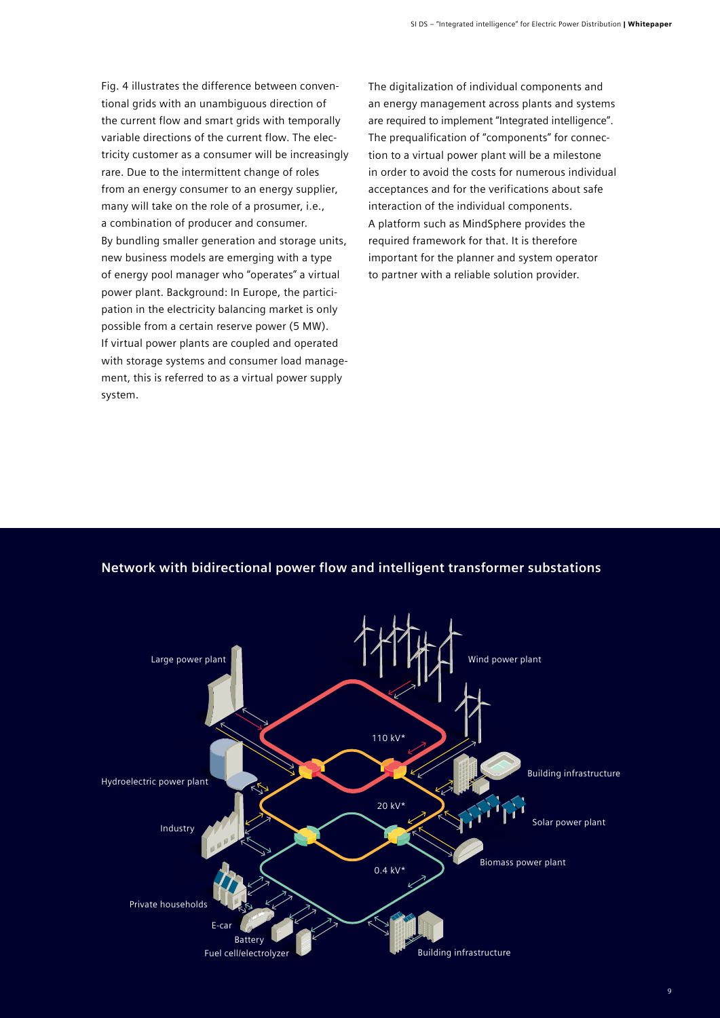Fig. 4 illustrates the difference between conventional grids with an unambiguous direction of the current flow and smart grids with temporally variable directions of the current flow. The electricity customer as a consumer will be increasingly rare. Due to the intermittent change of roles from an energy consumer to an energy supplier, many will take on the role of a prosumer, i.e., a combination of producer and consumer. By bundling smaller generation and storage units, new business models are emerging with a type of energy pool manager who "operates" a virtual power plant. Background: In Europe, the participation in the electricity balancing market is only possible from a certain reserve power (5 MW). If virtual power plants are coupled and operated with storage systems and consumer load management, this is referred to as a virtual power supply system.

The digitalization of individual components and an energy management across plants and systems are required to implement "Integrated intelligence". The prequalification of "components" for connection to a virtual power plant will be a milestone in order to avoid the costs for numerous individual acceptances and for the verifications about safe interaction of the individual components. A platform such as MindSphere provides the required framework for that. It is therefore important for the planner and system operator to partner with a reliable solution provider.

# **Network with bidirectional power flow and intelligent transformer substations**

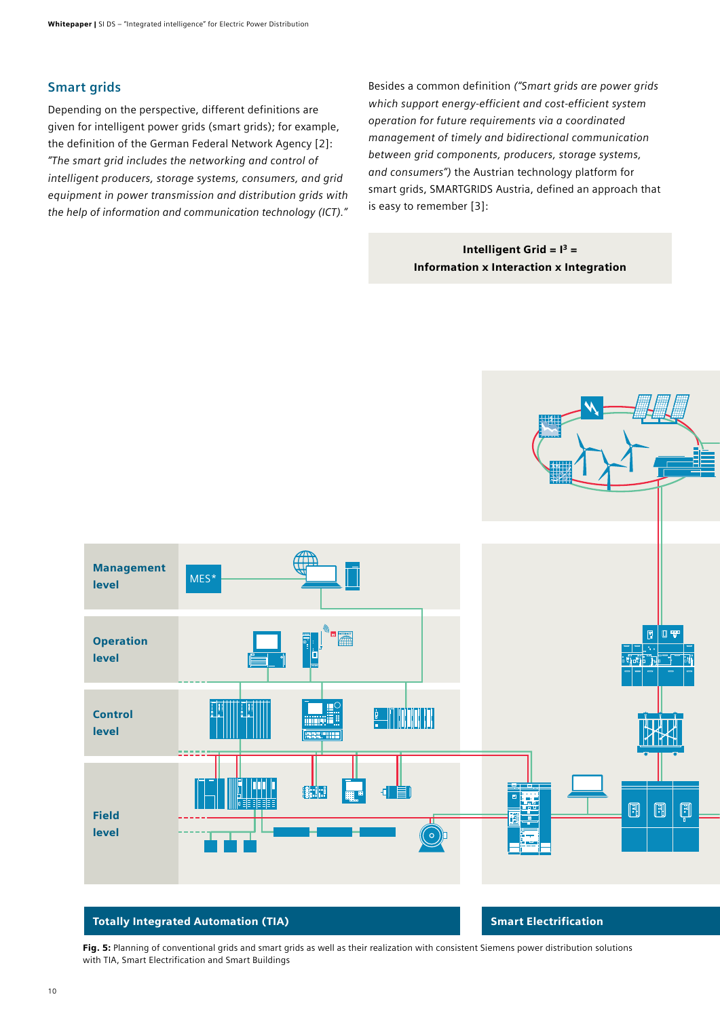### **Smart grids**

Depending on the perspective, different definitions are given for intelligent power grids (smart grids); for example, the definition of the German Federal Network Agency [2]: *"The smart grid includes the networking and control of intelligent producers, storage systems, consumers, and grid equipment in power transmission and distribution grids with the help of information and communication technology (ICT)."*

Besides a common definition *("Smart grids are power grids which support energy-efficient and cost-efficient system operation for future requirements via a coordinated management of timely and bidirectional communication between grid components, producers, storage systems, and consumers")* the Austrian technology platform for smart grids, SMARTGRIDS Austria, defined an approach that is easy to remember [3]:

### Intelligent Grid =  $I^3$  = Information x Interaction x Integration



#### Totally Integrated Automation (TIA) Smart Electrification

Fig. 5: Planning of conventional grids and smart grids as well as their realization with consistent Siemens power distribution solutions with TIA, Smart Electrification and Smart Buildings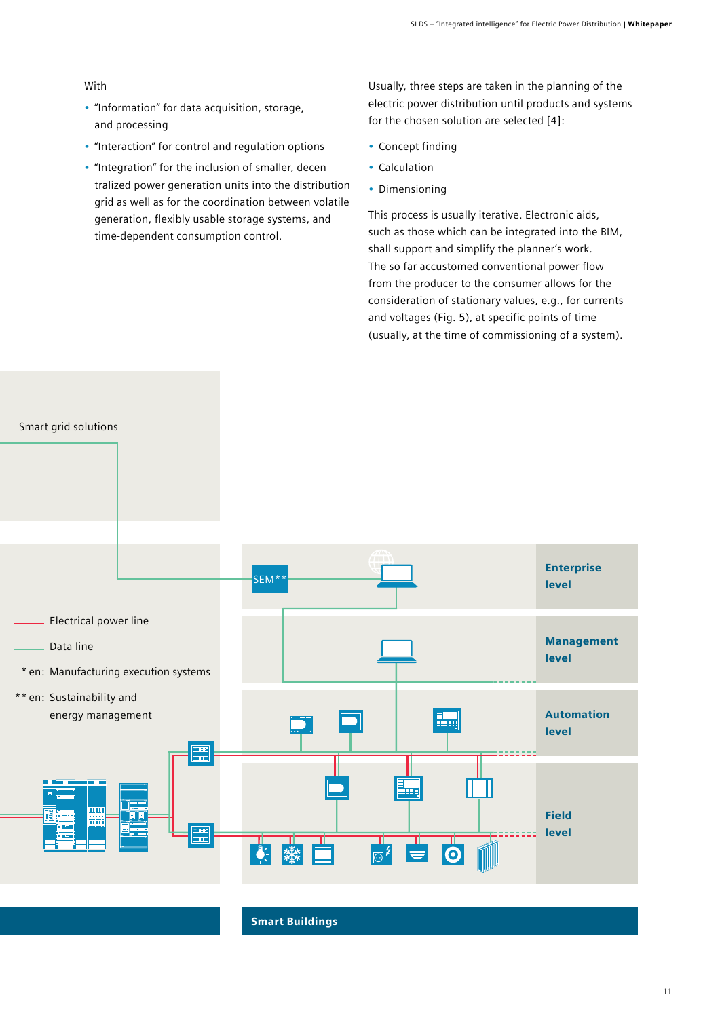#### With

- "Information" for data acquisition, storage, and processing
- "Interaction" for control and regulation options
- "Integration" for the inclusion of smaller, decentralized power generation units into the distribution grid as well as for the coordination between volatile generation, flexibly usable storage systems, and time-dependent consumption control.

Usually, three steps are taken in the planning of the electric power distribution until products and systems for the chosen solution are selected [4]:

- Concept finding
- Calculation
- Dimensioning

This process is usually iterative. Electronic aids, such as those which can be integrated into the BIM, shall support and simplify the planner's work. The so far accustomed conventional power flow from the producer to the consumer allows for the consideration of stationary values, e.g., for currents and voltages (Fig. 5), at specific points of time (usually, at the time of commissioning of a system).

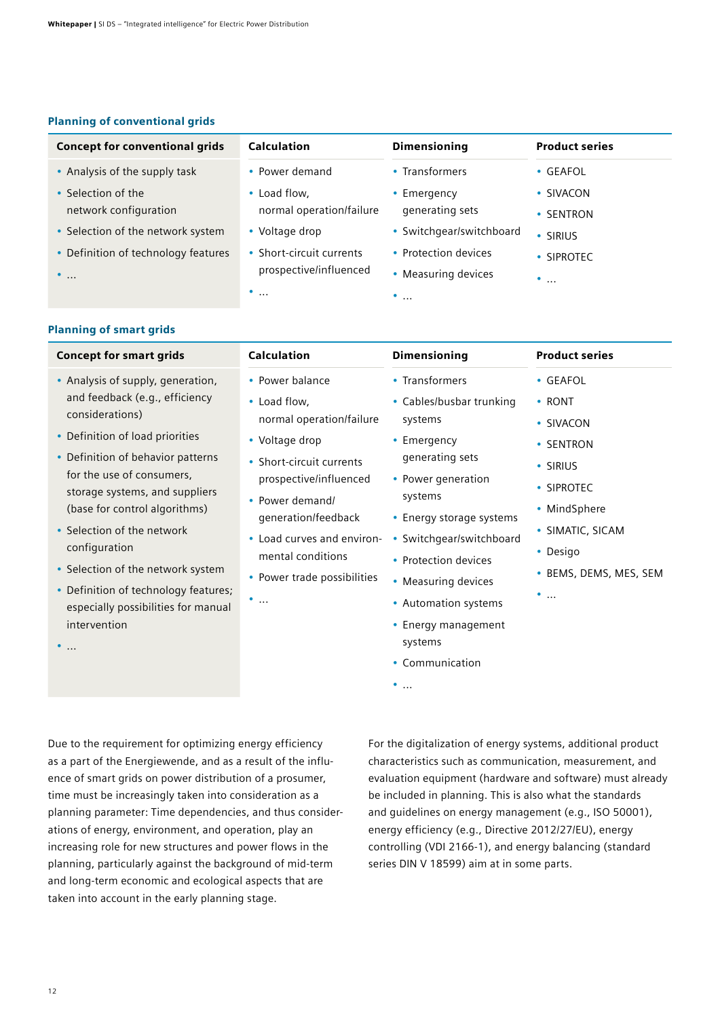#### Planning of conventional grids

| <b>Concept for conventional grids</b>          | <b>Calculation</b>                                 | <b>Dimensioning</b>                         | <b>Product series</b>  |
|------------------------------------------------|----------------------------------------------------|---------------------------------------------|------------------------|
| • Analysis of the supply task                  | • Power demand                                     | • Transformers                              | $\cdot$ GEAFOL         |
| • Selection of the<br>network configuration    | • Load flow,<br>normal operation/failure           | • Emergency<br>generating sets              | • SIVACON<br>• SENTRON |
| • Selection of the network system              | • Voltage drop                                     | • Switchgear/switchboard                    | • SIRIUS               |
| • Definition of technology features<br>$\cdot$ | • Short-circuit currents<br>prospective/influenced | • Protection devices<br>• Measuring devices | • SIPROTEC<br>$\cdots$ |
|                                                | $\cdot \cdot$                                      | $\cdots$                                    |                        |

#### Planning of smart grids

| <b>Concept for smart grids</b>                                                                                                                                                                                                                                                                                                    | <b>Calculation</b>                                                                                                                                                                          | <b>Dimensioning</b>                                                                                                                                                                                                                  | <b>Product series</b>                                                                                               |
|-----------------------------------------------------------------------------------------------------------------------------------------------------------------------------------------------------------------------------------------------------------------------------------------------------------------------------------|---------------------------------------------------------------------------------------------------------------------------------------------------------------------------------------------|--------------------------------------------------------------------------------------------------------------------------------------------------------------------------------------------------------------------------------------|---------------------------------------------------------------------------------------------------------------------|
| • Analysis of supply, generation,<br>and feedback (e.g., efficiency<br>considerations)<br>• Definition of load priorities                                                                                                                                                                                                         | • Power balance<br>• Load flow,<br>normal operation/failure<br>• Voltage drop                                                                                                               | • Transformers<br>• Cables/busbar trunking<br>systems<br>• Emergency                                                                                                                                                                 | • GEAFOL<br>• RONT<br>• SIVACON<br>• SENTRON                                                                        |
| • Definition of behavior patterns<br>for the use of consumers,<br>storage systems, and suppliers<br>(base for control algorithms)<br>• Selection of the network<br>configuration<br>• Selection of the network system<br>• Definition of technology features;<br>especially possibilities for manual<br>intervention<br>$\bullet$ | • Short-circuit currents<br>prospective/influenced<br>• Power demand/<br>generation/feedback<br>• Load curves and environ-<br>mental conditions<br>• Power trade possibilities<br>$\bullet$ | generating sets<br>• Power generation<br>systems<br>• Energy storage systems<br>• Switchgear/switchboard<br>• Protection devices<br>• Measuring devices<br>• Automation systems<br>• Energy management<br>systems<br>• Communication | $\cdot$ SIRIUS<br>• SIPROTEC<br>• MindSphere<br>• SIMATIC, SICAM<br>• Desigo<br>• BEMS, DEMS, MES, SEM<br>$\bullet$ |
|                                                                                                                                                                                                                                                                                                                                   |                                                                                                                                                                                             | $\bullet$                                                                                                                                                                                                                            |                                                                                                                     |

Due to the requirement for optimizing energy efficiency as a part of the Energiewende, and as a result of the influence of smart grids on power distribution of a prosumer, time must be increasingly taken into consideration as a planning parameter: Time dependencies, and thus considerations of energy, environment, and operation, play an increasing role for new structures and power flows in the planning, particularly against the background of mid-term and long-term economic and ecological aspects that are taken into account in the early planning stage.

For the digitalization of energy systems, additional product characteristics such as communication, measurement, and evaluation equipment (hardware and software) must already be included in planning. This is also what the standards and guidelines on energy management (e.g., ISO 50001), energy efficiency (e.g., Directive 2012/27/EU), energy controlling (VDI 2166-1), and energy balancing (standard series DIN V 18599) aim at in some parts.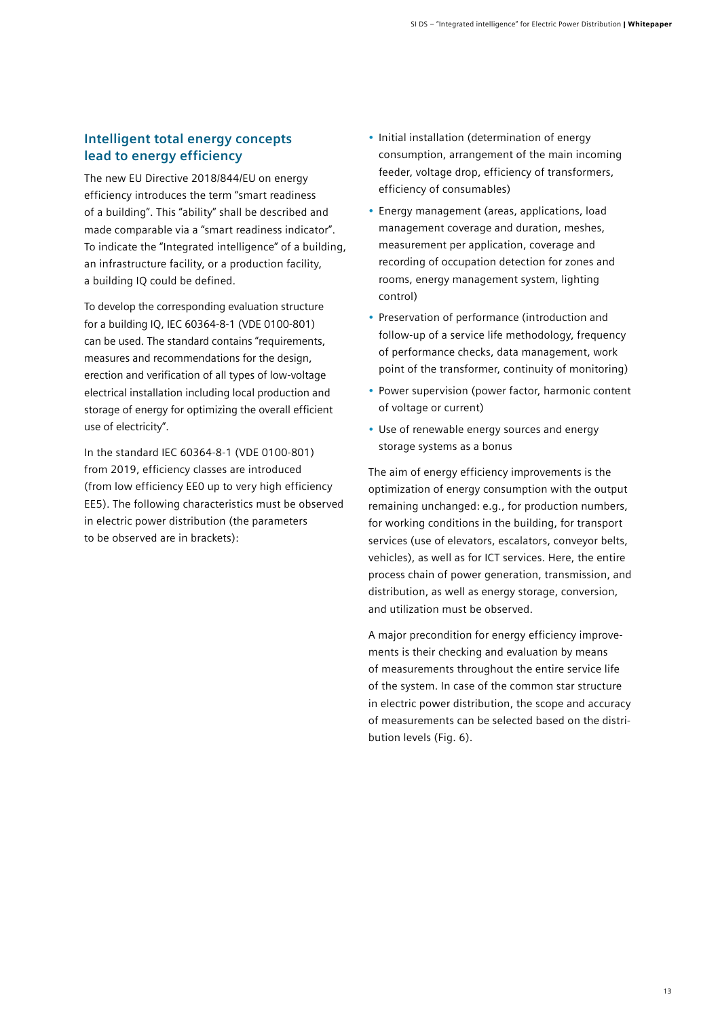### **Intelligent total energy concepts lead to energy efficiency**

The new EU Directive 2018/844/EU on energy efficiency introduces the term "smart readiness of a building". This "ability" shall be described and made comparable via a "smart readiness indicator". To indicate the "Integrated intelligence" of a building, an infrastructure facility, or a production facility, a building IQ could be defined.

To develop the corresponding evaluation structure for a building IQ, IEC 60364-8-1 (VDE 0100-801) can be used. The standard contains "requirements, measures and recommendations for the design, erection and verification of all types of low-voltage electrical installation including local production and storage of energy for optimizing the overall efficient use of electricity".

In the standard IEC 60364-8-1 (VDE 0100-801) from 2019, efficiency classes are introduced (from low efficiency EE0 up to very high efficiency EE5). The following characteristics must be observed in electric power distribution (the parameters to be observed are in brackets):

- Initial installation (determination of energy consumption, arrangement of the main incoming feeder, voltage drop, efficiency of transformers, efficiency of consumables)
- Energy management (areas, applications, load management coverage and duration, meshes, measurement per application, coverage and recording of occupation detection for zones and rooms, energy management system, lighting control)
- Preservation of performance (introduction and follow-up of a service life methodology, frequency of performance checks, data management, work point of the transformer, continuity of monitoring)
- Power supervision (power factor, harmonic content of voltage or current)
- Use of renewable energy sources and energy storage systems as a bonus

The aim of energy efficiency improvements is the optimization of energy consumption with the output remaining unchanged: e.g., for production numbers, for working conditions in the building, for transport services (use of elevators, escalators, conveyor belts, vehicles), as well as for ICT services. Here, the entire process chain of power generation, transmission, and distribution, as well as energy storage, conversion, and utilization must be observed.

A major precondition for energy efficiency improvements is their checking and evaluation by means of measurements throughout the entire service life of the system. In case of the common star structure in electric power distribution, the scope and accuracy of measurements can be selected based on the distribution levels (Fig. 6).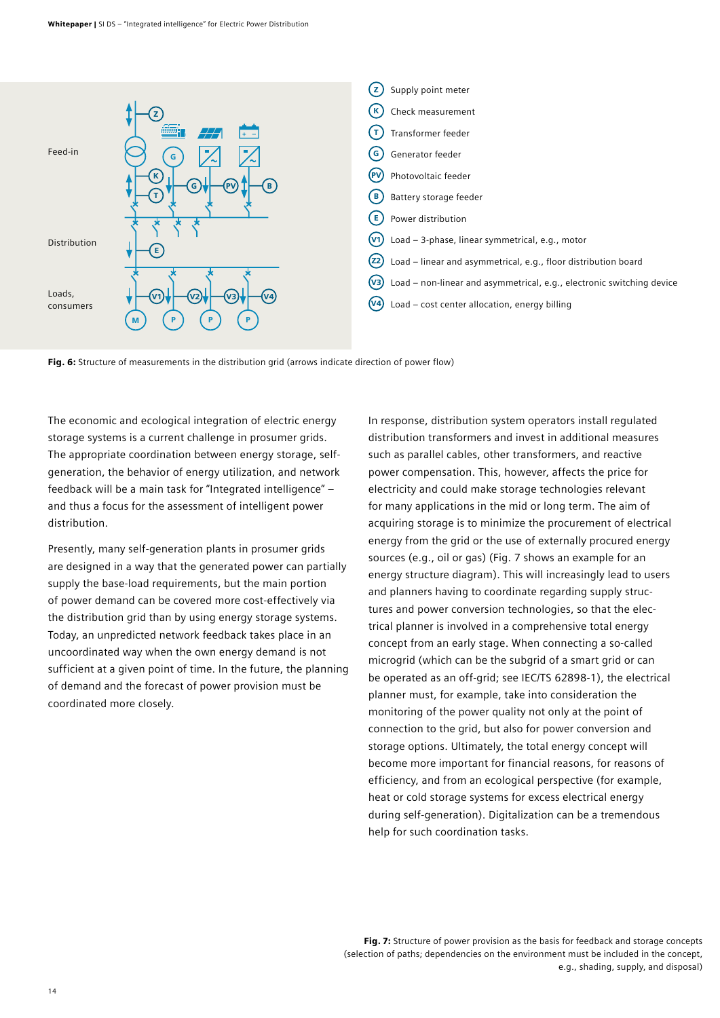

Fig. 6: Structure of measurements in the distribution grid (arrows indicate direction of power flow)

The economic and ecological integration of electric energy storage systems is a current challenge in prosumer grids. The appropriate coordination between energy storage, selfgeneration, the behavior of energy utilization, and network feedback will be a main task for "Integrated intelligence" – and thus a focus for the assessment of intelligent power distribution.

Presently, many self-generation plants in prosumer grids are designed in a way that the generated power can partially supply the base-load requirements, but the main portion of power demand can be covered more cost-effectively via the distribution grid than by using energy storage systems. Today, an unpredicted network feedback takes place in an uncoordinated way when the own energy demand is not sufficient at a given point of time. In the future, the planning of demand and the forecast of power provision must be coordinated more closely.

In response, distribution system operators install regulated distribution transformers and invest in additional measures such as parallel cables, other transformers, and reactive power compensation. This, however, affects the price for electricity and could make storage technologies relevant for many applications in the mid or long term. The aim of acquiring storage is to minimize the procurement of electrical energy from the grid or the use of externally procured energy sources (e.g., oil or gas) (Fig. 7 shows an example for an energy structure diagram). This will increasingly lead to users and planners having to coordinate regarding supply structures and power conversion technologies, so that the electrical planner is involved in a comprehensive total energy concept from an early stage. When connecting a so-called microgrid (which can be the subgrid of a smart grid or can be operated as an off-grid; see IEC/TS 62898-1), the electrical planner must, for example, take into consideration the monitoring of the power quality not only at the point of connection to the grid, but also for power conversion and storage options. Ultimately, the total energy concept will become more important for financial reasons, for reasons of efficiency, and from an ecological perspective (for example, heat or cold storage systems for excess electrical energy during self-generation). Digitalization can be a tremendous help for such coordination tasks.

Fig. 7: Structure of power provision as the basis for feedback and storage concepts (selection of paths; dependencies on the environment must be included in the concept, e.g., shading, supply, and disposal)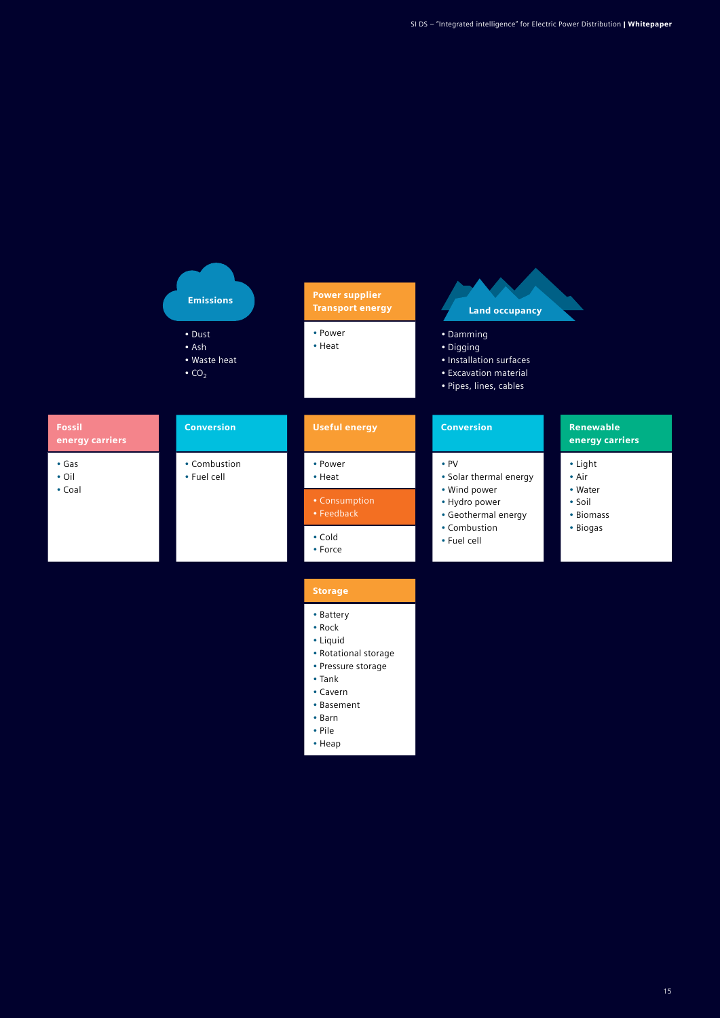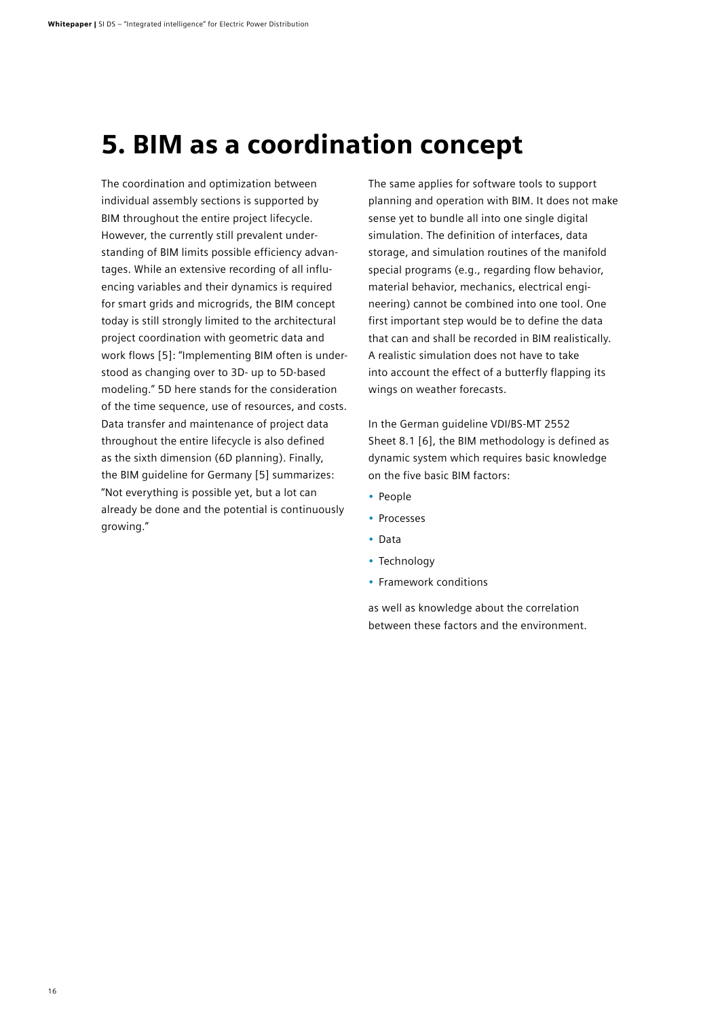# 5. BIM as a coordination concept

The coordination and optimization between individual assembly sections is supported by BIM throughout the entire project lifecycle. However, the currently still prevalent understanding of BIM limits possible efficiency advantages. While an extensive recording of all influencing variables and their dynamics is required for smart grids and microgrids, the BIM concept today is still strongly limited to the architectural project coordination with geometric data and work flows [5]: "Implementing BIM often is understood as changing over to 3D- up to 5D-based modeling." 5D here stands for the consideration of the time sequence, use of resources, and costs. Data transfer and maintenance of project data throughout the entire lifecycle is also defined as the sixth dimension (6D planning). Finally, the BIM guideline for Germany [5] summarizes: "Not everything is possible yet, but a lot can already be done and the potential is continuously growing."

The same applies for software tools to support planning and operation with BIM. It does not make sense yet to bundle all into one single digital simulation. The definition of interfaces, data storage, and simulation routines of the manifold special programs (e.g., regarding flow behavior, material behavior, mechanics, electrical engineering) cannot be combined into one tool. One first important step would be to define the data that can and shall be recorded in BIM realistically. A realistic simulation does not have to take into account the effect of a butterfly flapping its wings on weather forecasts.

In the German guideline VDI/BS-MT 2552 Sheet 8.1 [6], the BIM methodology is defined as dynamic system which requires basic knowledge on the five basic BIM factors:

- People
- Processes
- Data
- Technology
- Framework conditions

as well as knowledge about the correlation between these factors and the environment.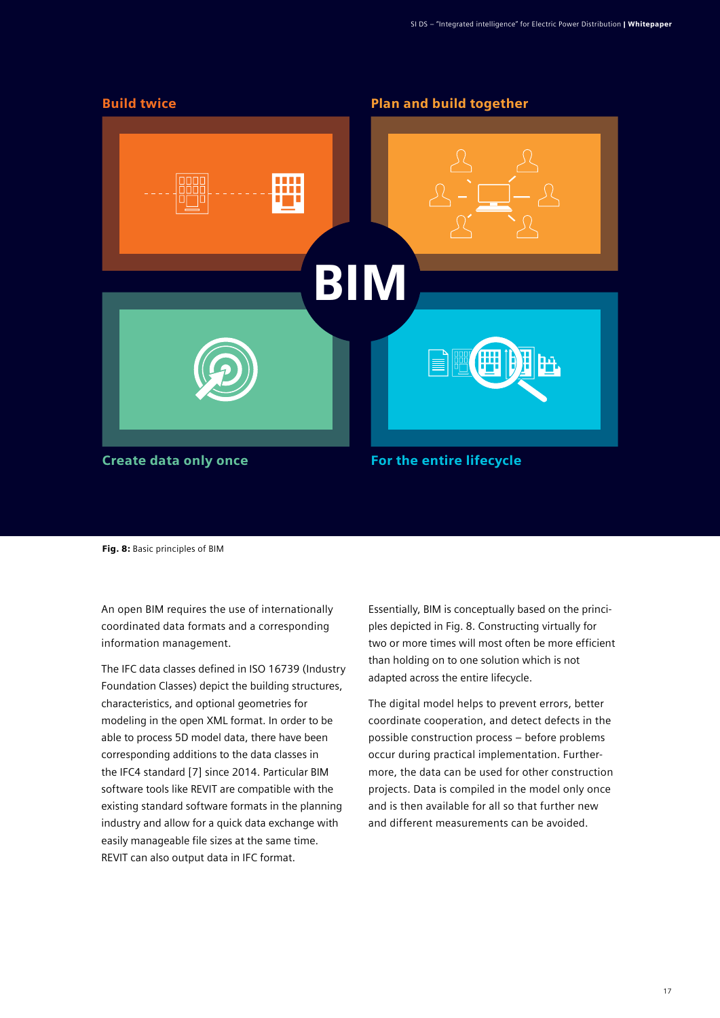

Fig. 8: Basic principles of BIM

An open BIM requires the use of internationally coordinated data formats and a corresponding information management.

The IFC data classes defined in ISO 16739 (Industry Foundation Classes) depict the building structures, characteristics, and optional geometries for modeling in the open XML format. In order to be able to process 5D model data, there have been corresponding additions to the data classes in the IFC4 standard [7] since 2014. Particular BIM software tools like REVIT are compatible with the existing standard software formats in the planning industry and allow for a quick data exchange with easily manageable file sizes at the same time. REVIT can also output data in IFC format.

Essentially, BIM is conceptually based on the principles depicted in Fig. 8. Constructing virtually for two or more times will most often be more efficient than holding on to one solution which is not adapted across the entire lifecycle.

The digital model helps to prevent errors, better coordinate cooperation, and detect defects in the possible construction process – before problems occur during practical implementation. Furthermore, the data can be used for other construction projects. Data is compiled in the model only once and is then available for all so that further new and different measurements can be avoided.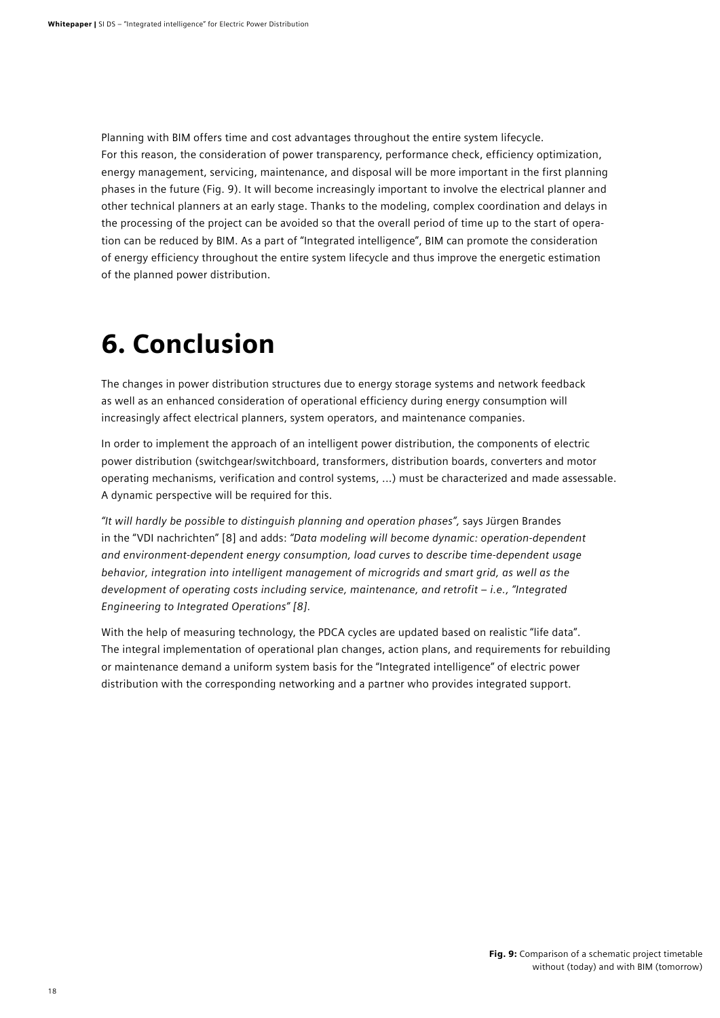Planning with BIM offers time and cost advantages throughout the entire system lifecycle. For this reason, the consideration of power transparency, performance check, efficiency optimization, energy management, servicing, maintenance, and disposal will be more important in the first planning phases in the future (Fig. 9). It will become increasingly important to involve the electrical planner and other technical planners at an early stage. Thanks to the modeling, complex coordination and delays in the processing of the project can be avoided so that the overall period of time up to the start of operation can be reduced by BIM. As a part of "Integrated intelligence", BIM can promote the consideration of energy efficiency throughout the entire system lifecycle and thus improve the energetic estimation of the planned power distribution.

# 6. Conclusion

The changes in power distribution structures due to energy storage systems and network feedback as well as an enhanced consideration of operational efficiency during energy consumption will increasingly affect electrical planners, system operators, and maintenance companies.

In order to implement the approach of an intelligent power distribution, the components of electric power distribution (switchgear/switchboard, transformers, distribution boards, converters and motor operating mechanisms, verification and control systems, ...) must be characterized and made assessable. A dynamic perspective will be required for this.

*"It will hardly be possible to distinguish planning and operation phases",* says Jürgen Brandes in the "VDI nachrichten" [8] and adds: *"Data modeling will become dynamic: operation-dependent and environment-dependent energy consumption, load curves to describe time-dependent usage behavior, integration into intelligent management of microgrids and smart grid, as well as the development of operating costs including service, maintenance, and retrofit – i.e., "Integrated Engineering to Integrated Operations" [8].*

With the help of measuring technology, the PDCA cycles are updated based on realistic "life data". The integral implementation of operational plan changes, action plans, and requirements for rebuilding or maintenance demand a uniform system basis for the "Integrated intelligence" of electric power distribution with the corresponding networking and a partner who provides integrated support.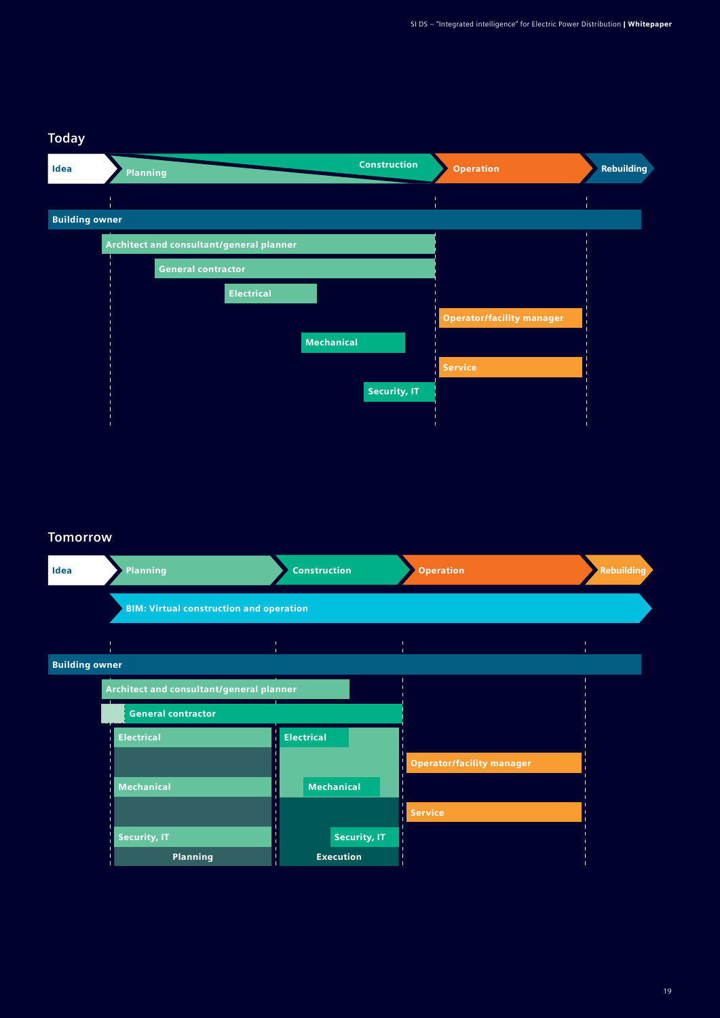## **Today**

| Idea                  | <b>Planning</b> | <b>Construction</b>                      | <b>Operation</b>                 | <b>Rebuilding</b> |
|-----------------------|-----------------|------------------------------------------|----------------------------------|-------------------|
|                       |                 |                                          |                                  |                   |
| <b>Building owner</b> |                 |                                          |                                  |                   |
|                       |                 | Architect and consultant/general planner |                                  |                   |
|                       |                 | <b>General contractor</b>                |                                  |                   |
|                       |                 | <b>Electrical</b>                        |                                  |                   |
|                       |                 |                                          | <b>Operator/facility manager</b> |                   |
|                       |                 | <b>Mechanical</b>                        |                                  |                   |
|                       |                 |                                          | <b>Service</b>                   |                   |
|                       |                 | <b>Security, IT</b>                      |                                  |                   |
|                       |                 |                                          |                                  |                   |
|                       |                 |                                          |                                  |                   |

### **Tomorrow**

| Idea                  | <b>Planning</b>                                                       |                   | <b>Construction</b> | <b>Operation</b>                 | <b>Rebuilding</b> |
|-----------------------|-----------------------------------------------------------------------|-------------------|---------------------|----------------------------------|-------------------|
|                       | <b>BIM: Virtual construction and operation</b>                        |                   |                     |                                  |                   |
|                       |                                                                       |                   |                     |                                  |                   |
| <b>Building owner</b> |                                                                       |                   |                     |                                  |                   |
|                       | Architect and consultant/general planner<br><b>General contractor</b> |                   |                     |                                  |                   |
|                       |                                                                       |                   |                     |                                  |                   |
|                       | <b>Electrical</b>                                                     | <b>Electrical</b> |                     |                                  |                   |
|                       |                                                                       |                   |                     | <b>Operator/facility manager</b> |                   |
|                       | <b>Mechanical</b>                                                     |                   | <b>Mechanical</b>   |                                  |                   |
|                       |                                                                       |                   |                     | <b>Service</b>                   |                   |
|                       | <b>Security, IT</b>                                                   |                   | <b>Security, IT</b> |                                  |                   |
|                       | <b>Planning</b>                                                       |                   | <b>Execution</b>    |                                  |                   |